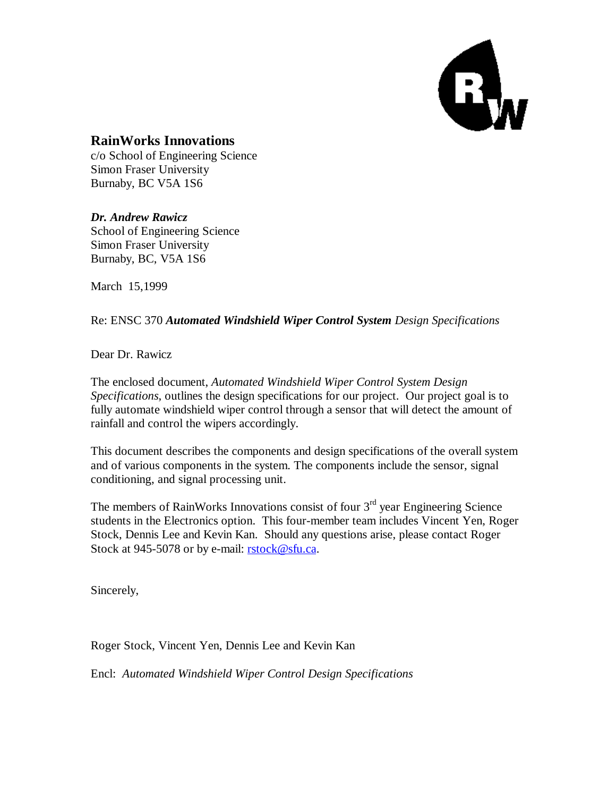

### **RainWorks Innovations**

c/o School of Engineering Science Simon Fraser University Burnaby, BC V5A 1S6

*Dr. Andrew Rawicz* School of Engineering Science Simon Fraser University Burnaby, BC, V5A 1S6

March 15,1999

Re: ENSC 370 *Automated Windshield Wiper Control System Design Specifications*

Dear Dr. Rawicz

The enclosed document, *Automated Windshield Wiper Control System Design Specifications*, outlines the design specifications for our project. Our project goal is to fully automate windshield wiper control through a sensor that will detect the amount of rainfall and control the wipers accordingly.

This document describes the components and design specifications of the overall system and of various components in the system. The components include the sensor, signal conditioning, and signal processing unit.

The members of RainWorks Innovations consist of four  $3<sup>rd</sup>$  year Engineering Science students in the Electronics option. This four-member team includes Vincent Yen, Roger Stock, Dennis Lee and Kevin Kan. Should any questions arise, please contact Roger Stock at 945-5078 or by e-mail: rstock@sfu.ca.

Sincerely,

Roger Stock, Vincent Yen, Dennis Lee and Kevin Kan

Encl: *Automated Windshield Wiper Control Design Specifications*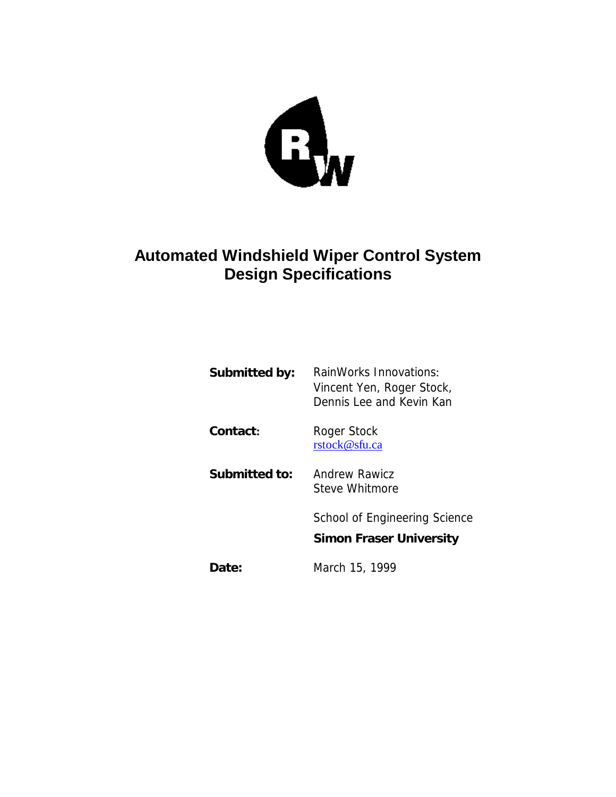

# **Automated Windshield Wiper Control System Design Specifications**

| Submitted by: | RainWorks Innovations:<br>Vincent Yen, Roger Stock,<br>Dennis Lee and Kevin Kan |
|---------------|---------------------------------------------------------------------------------|
| Contact:      | Roger Stock<br>rstock@sfu.ca                                                    |
| Submitted to: | Andrew Rawicz<br>Steve Whitmore                                                 |
|               | School of Engineering Science<br><b>Simon Fraser University</b>                 |
| Date:         | March 15, 1999                                                                  |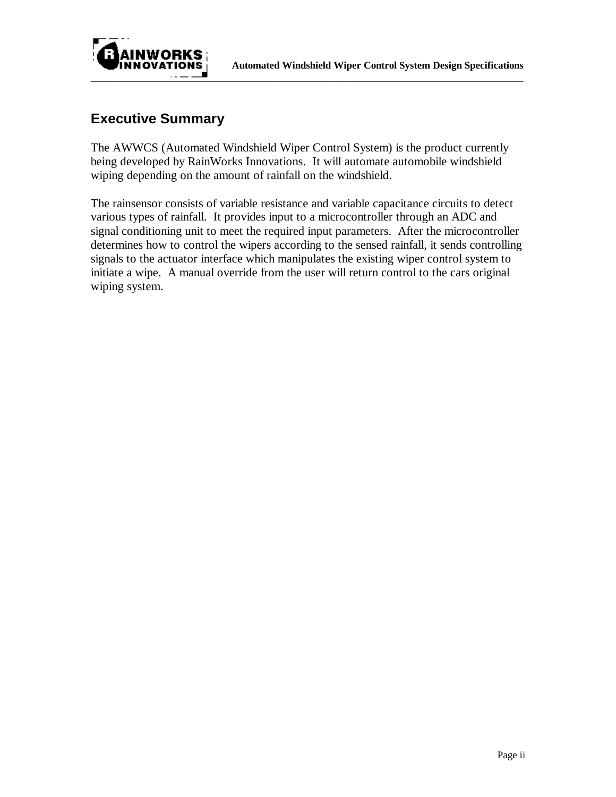



## **Executive Summary**

The AWWCS (Automated Windshield Wiper Control System) is the product currently being developed by RainWorks Innovations. It will automate automobile windshield wiping depending on the amount of rainfall on the windshield.

The rainsensor consists of variable resistance and variable capacitance circuits to detect various types of rainfall. It provides input to a microcontroller through an ADC and signal conditioning unit to meet the required input parameters. After the microcontroller determines how to control the wipers according to the sensed rainfall, it sends controlling signals to the actuator interface which manipulates the existing wiper control system to initiate a wipe. A manual override from the user will return control to the cars original wiping system.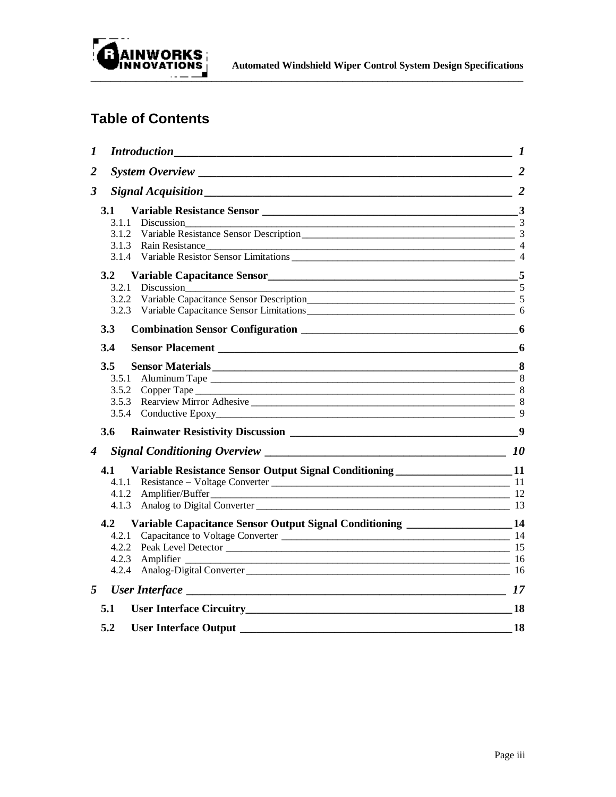

# **Table of Contents**

| 1<br><b>Introduction</b><br><u> 1989 - Johann Stoff, fransk politik (f. 1989)</u>                                                                                                                                                       | $\boldsymbol{l}$ |
|-----------------------------------------------------------------------------------------------------------------------------------------------------------------------------------------------------------------------------------------|------------------|
| 2                                                                                                                                                                                                                                       |                  |
| $Signal \, A \, \textit{equisition} \, \underline{\hspace{2cm}}$ 2<br>3                                                                                                                                                                 |                  |
| 3.1                                                                                                                                                                                                                                     |                  |
|                                                                                                                                                                                                                                         |                  |
|                                                                                                                                                                                                                                         |                  |
| 3.1.3 Rain Resistance<br>3.1.4 Variable Resistor Sensor Limitations<br>4 4                                                                                                                                                              |                  |
|                                                                                                                                                                                                                                         |                  |
| 3.2 Variable Capacitance Sensor<br>5                                                                                                                                                                                                    |                  |
| 3.2.1<br>Discussion                                                                                                                                                                                                                     | $\sim$ 5         |
| 3.2.2                                                                                                                                                                                                                                   |                  |
| 3.2.3                                                                                                                                                                                                                                   |                  |
| 3.3<br>Combination Sensor Configuration 2008 2012 12:00 12:00 12:00 12:00 12:00 12:00 12:00 12:00 12:00 12:00 12:00 1                                                                                                                   |                  |
| 3.4                                                                                                                                                                                                                                     | 6                |
| Sensor Materials 2000 and 2000 and 2000 and 2000 and 2000 and 2000 and 2000 and 2000 and 2000 and 2000 and 200<br>3.5                                                                                                                   |                  |
| 3.5.1                                                                                                                                                                                                                                   |                  |
| 3.5.2                                                                                                                                                                                                                                   |                  |
| 3.5.3                                                                                                                                                                                                                                   |                  |
|                                                                                                                                                                                                                                         | 9                |
| 3.6                                                                                                                                                                                                                                     |                  |
|                                                                                                                                                                                                                                         |                  |
| Variable Resistance Sensor Output Signal Conditioning _______________________11<br>4.1                                                                                                                                                  |                  |
|                                                                                                                                                                                                                                         |                  |
| Amplifier/Buffer<br>4.1.2                                                                                                                                                                                                               |                  |
| Analog to Digital Converter 13 and 200 meters and 200 meters and 200 meters and 200 meters and 200 meters and 200 meters and 200 meters and 200 meters and 200 meters and 200 meters and 200 meters and 200 meters and 200 met<br>4.1.3 |                  |
| Variable Capacitance Sensor Output Signal Conditioning _______________________14<br>4.2                                                                                                                                                 |                  |
| 4.2.1                                                                                                                                                                                                                                   |                  |
|                                                                                                                                                                                                                                         |                  |
| 4.2.3<br>Amplifier 16                                                                                                                                                                                                                   |                  |
| 4.2.4                                                                                                                                                                                                                                   |                  |
| 5                                                                                                                                                                                                                                       | 17               |
| 5.1                                                                                                                                                                                                                                     | 18               |
| 5.2<br><b>User Interface Output</b>                                                                                                                                                                                                     | 18               |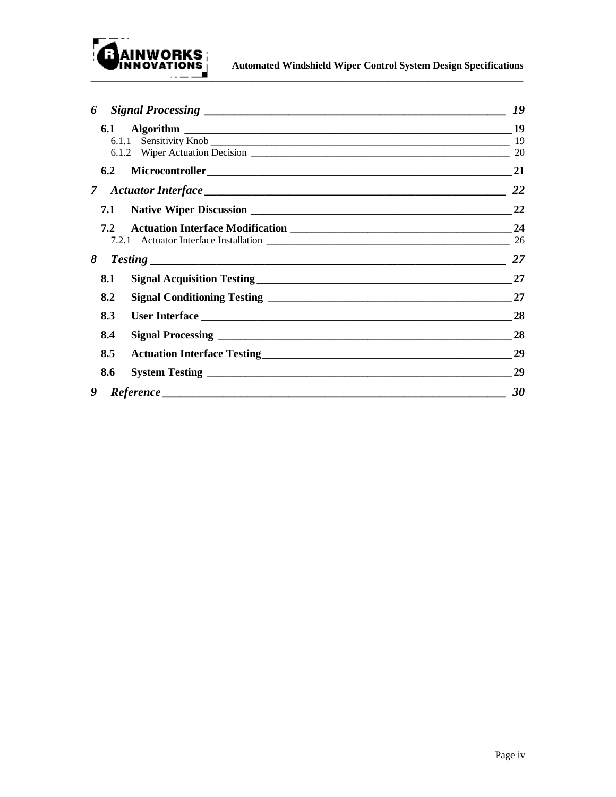

**AINWORKS**<br>INNOVATIONS Automated Windshield Wiper Control System Design Specifications

| 6             | 19        |
|---------------|-----------|
| 6.1           | 19        |
| 6.1.1         | 19        |
|               | 20        |
| $6.2^{\circ}$ | 21        |
| $7 -$         | <b>22</b> |
| 7.1           | 22        |
| 7.2           | 24        |
|               |           |
| 8             | 27        |
| 8.1           | 27        |
| 8.2           | 27        |
| 8.3           | 28        |
| 8.4           | 28        |
| 8.5           | 29        |
| 8.6           | 29        |
| 9             | 30        |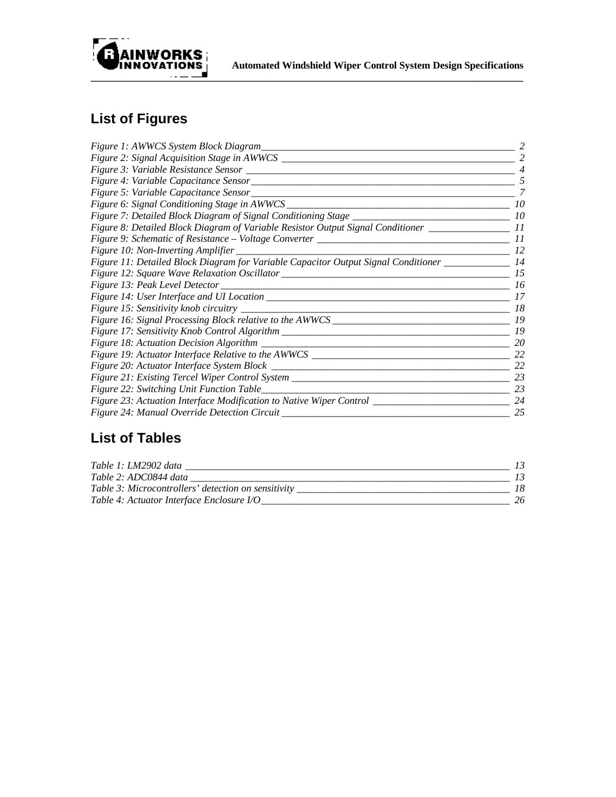

# **List of Figures**

| Figure 1: AWWCS System Block Diagram                                                           | 2  |
|------------------------------------------------------------------------------------------------|----|
|                                                                                                | 2  |
|                                                                                                |    |
|                                                                                                | 5  |
|                                                                                                | 7  |
| Figure 6: Signal Conditioning Stage in AWWCS ____________                                      | 10 |
|                                                                                                | 10 |
| Figure 8: Detailed Block Diagram of Variable Resistor Output Signal Conditioner ______________ | II |
|                                                                                                | 11 |
| Figure 10: Non-Inverting Amplifier                                                             | 12 |
| Figure 11: Detailed Block Diagram for Variable Capacitor Output Signal Conditioner ___________ | 14 |
|                                                                                                | 15 |
|                                                                                                | 16 |
|                                                                                                | 17 |
|                                                                                                | 18 |
|                                                                                                | 19 |
|                                                                                                | 19 |
|                                                                                                | 20 |
|                                                                                                | 22 |
|                                                                                                | 22 |
| Figure 21: Existing Tercel Wiper Control System _________________________________              | 23 |
|                                                                                                | 23 |
| Figure 23: Actuation Interface Modification to Native Wiper Control ____________________       | 24 |
| Figure 24: Manual Override Detection Circuit                                                   | 25 |

# **List of Tables**

| Table 1: LM2902 data                                |  |
|-----------------------------------------------------|--|
| Table 2: ADC0844 data                               |  |
| Table 3: Microcontrollers' detection on sensitivity |  |
| Table 4: Actuator Interface Enclosure I/O           |  |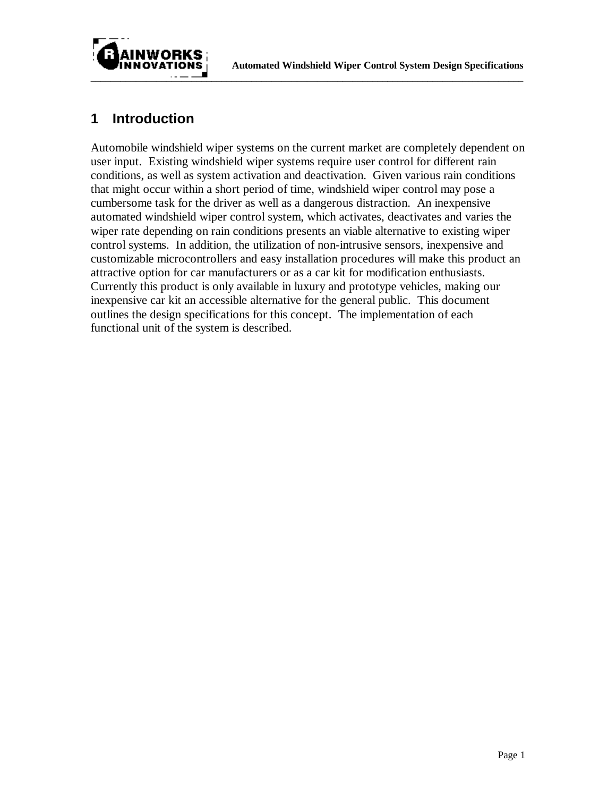



## **1 Introduction**

Automobile windshield wiper systems on the current market are completely dependent on user input. Existing windshield wiper systems require user control for different rain conditions, as well as system activation and deactivation. Given various rain conditions that might occur within a short period of time, windshield wiper control may pose a cumbersome task for the driver as well as a dangerous distraction. An inexpensive automated windshield wiper control system, which activates, deactivates and varies the wiper rate depending on rain conditions presents an viable alternative to existing wiper control systems. In addition, the utilization of non-intrusive sensors, inexpensive and customizable microcontrollers and easy installation procedures will make this product an attractive option for car manufacturers or as a car kit for modification enthusiasts. Currently this product is only available in luxury and prototype vehicles, making our inexpensive car kit an accessible alternative for the general public. This document outlines the design specifications for this concept. The implementation of each functional unit of the system is described.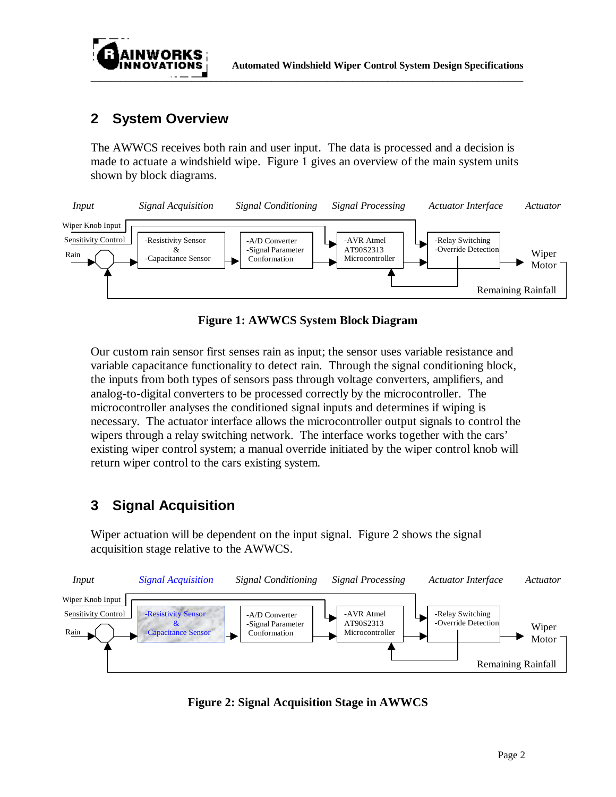

## **2 System Overview**

The AWWCS receives both rain and user input. The data is processed and a decision is made to actuate a windshield wipe. Figure 1 gives an overview of the main system units shown by block diagrams.



**Figure 1: AWWCS System Block Diagram**

Our custom rain sensor first senses rain as input; the sensor uses variable resistance and variable capacitance functionality to detect rain. Through the signal conditioning block, the inputs from both types of sensors pass through voltage converters, amplifiers, and analog-to-digital converters to be processed correctly by the microcontroller. The microcontroller analyses the conditioned signal inputs and determines if wiping is necessary. The actuator interface allows the microcontroller output signals to control the wipers through a relay switching network. The interface works together with the cars' existing wiper control system; a manual override initiated by the wiper control knob will return wiper control to the cars existing system.

# **3 Signal Acquisition**

Wiper actuation will be dependent on the input signal. Figure 2 shows the signal acquisition stage relative to the AWWCS.



**Figure 2: Signal Acquisition Stage in AWWCS**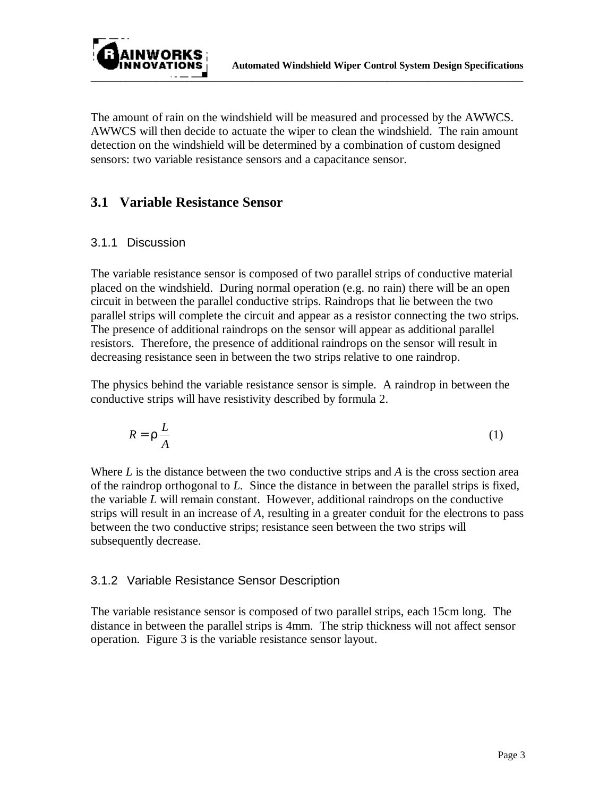

The amount of rain on the windshield will be measured and processed by the AWWCS. AWWCS will then decide to actuate the wiper to clean the windshield. The rain amount detection on the windshield will be determined by a combination of custom designed sensors: two variable resistance sensors and a capacitance sensor.

### **3.1 Variable Resistance Sensor**

#### 3.1.1 Discussion

The variable resistance sensor is composed of two parallel strips of conductive material placed on the windshield. During normal operation (e.g. no rain) there will be an open circuit in between the parallel conductive strips. Raindrops that lie between the two parallel strips will complete the circuit and appear as a resistor connecting the two strips. The presence of additional raindrops on the sensor will appear as additional parallel resistors. Therefore, the presence of additional raindrops on the sensor will result in decreasing resistance seen in between the two strips relative to one raindrop.

The physics behind the variable resistance sensor is simple. A raindrop in between the conductive strips will have resistivity described by formula 2.

$$
R = r \frac{L}{A} \tag{1}
$$

Where *L* is the distance between the two conductive strips and *A* is the cross section area of the raindrop orthogonal to *L*. Since the distance in between the parallel strips is fixed, the variable *L* will remain constant. However, additional raindrops on the conductive strips will result in an increase of *A*, resulting in a greater conduit for the electrons to pass between the two conductive strips; resistance seen between the two strips will subsequently decrease.

### 3.1.2 Variable Resistance Sensor Description

The variable resistance sensor is composed of two parallel strips, each 15cm long. The distance in between the parallel strips is 4mm. The strip thickness will not affect sensor operation. Figure 3 is the variable resistance sensor layout.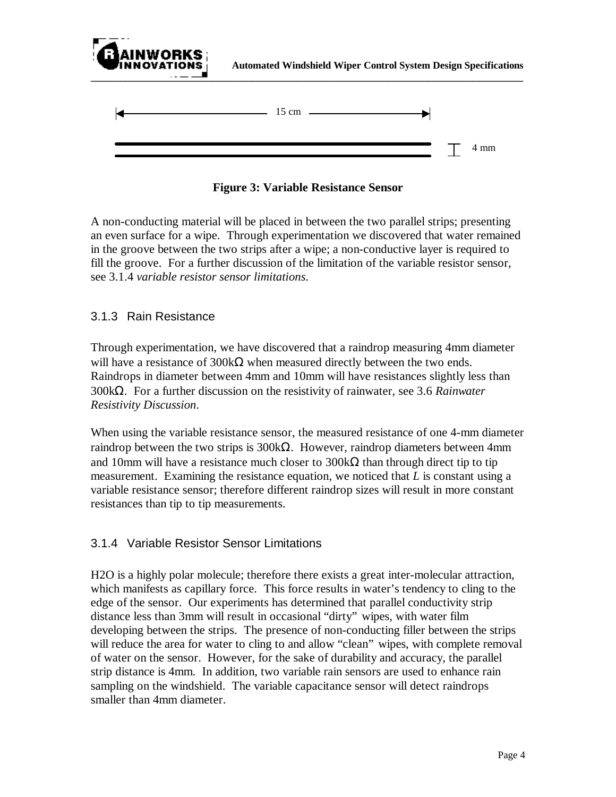

**Figure 3: Variable Resistance Sensor**

A non-conducting material will be placed in between the two parallel strips; presenting an even surface for a wipe. Through experimentation we discovered that water remained in the groove between the two strips after a wipe; a non-conductive layer is required to fill the groove. For a further discussion of the limitation of the variable resistor sensor, see 3.1.4 *variable resistor sensor limitations*.

#### 3.1.3 Rain Resistance

Through experimentation, we have discovered that a raindrop measuring 4mm diameter will have a resistance of 300 k $\Omega$  when measured directly between the two ends. Raindrops in diameter between 4mm and 10mm will have resistances slightly less than 300kΩ. For a further discussion on the resistivity of rainwater, see 3.6 *Rainwater Resistivity Discussion*.

When using the variable resistance sensor, the measured resistance of one 4-mm diameter raindrop between the two strips is  $300<sub>k</sub>Ω$ . However, raindrop diameters between 4mm and 10mm will have a resistance much closer to  $300k\Omega$  than through direct tip to tip measurement. Examining the resistance equation, we noticed that *L* is constant using a variable resistance sensor; therefore different raindrop sizes will result in more constant resistances than tip to tip measurements.

#### 3.1.4 Variable Resistor Sensor Limitations

H2O is a highly polar molecule; therefore there exists a great inter-molecular attraction, which manifests as capillary force. This force results in water's tendency to cling to the edge of the sensor. Our experiments has determined that parallel conductivity strip distance less than 3mm will result in occasional "dirty" wipes, with water film developing between the strips. The presence of non-conducting filler between the strips will reduce the area for water to cling to and allow "clean" wipes, with complete removal of water on the sensor. However, for the sake of durability and accuracy, the parallel strip distance is 4mm. In addition, two variable rain sensors are used to enhance rain sampling on the windshield. The variable capacitance sensor will detect raindrops smaller than 4mm diameter.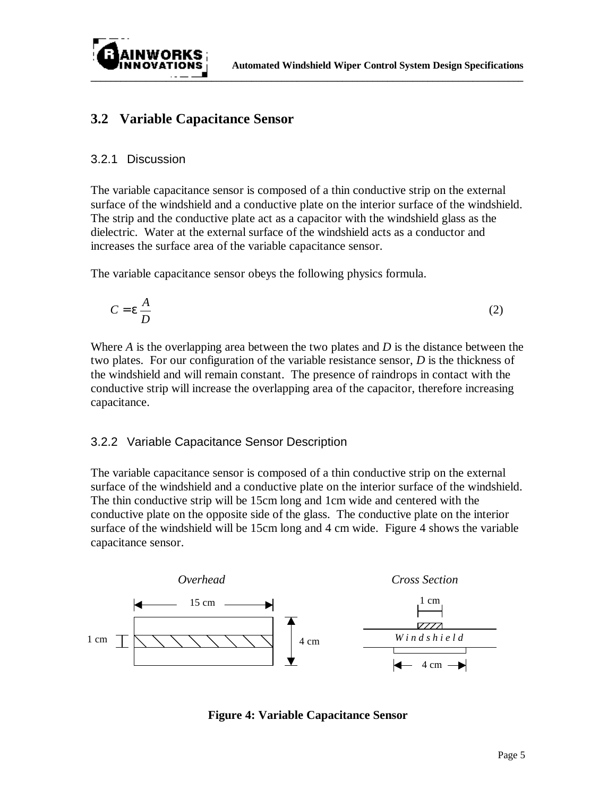

## **3.2 Variable Capacitance Sensor**

#### 3.2.1 Discussion

The variable capacitance sensor is composed of a thin conductive strip on the external surface of the windshield and a conductive plate on the interior surface of the windshield. The strip and the conductive plate act as a capacitor with the windshield glass as the dielectric. Water at the external surface of the windshield acts as a conductor and increases the surface area of the variable capacitance sensor.

The variable capacitance sensor obeys the following physics formula.

$$
C = \mathbf{e} \frac{A}{D} \tag{2}
$$

Where *A* is the overlapping area between the two plates and *D* is the distance between the two plates. For our configuration of the variable resistance sensor, *D* is the thickness of the windshield and will remain constant. The presence of raindrops in contact with the conductive strip will increase the overlapping area of the capacitor, therefore increasing capacitance.

#### 3.2.2 Variable Capacitance Sensor Description

The variable capacitance sensor is composed of a thin conductive strip on the external surface of the windshield and a conductive plate on the interior surface of the windshield. The thin conductive strip will be 15cm long and 1cm wide and centered with the conductive plate on the opposite side of the glass. The conductive plate on the interior surface of the windshield will be 15cm long and 4 cm wide. Figure 4 shows the variable capacitance sensor.



**Figure 4: Variable Capacitance Sensor**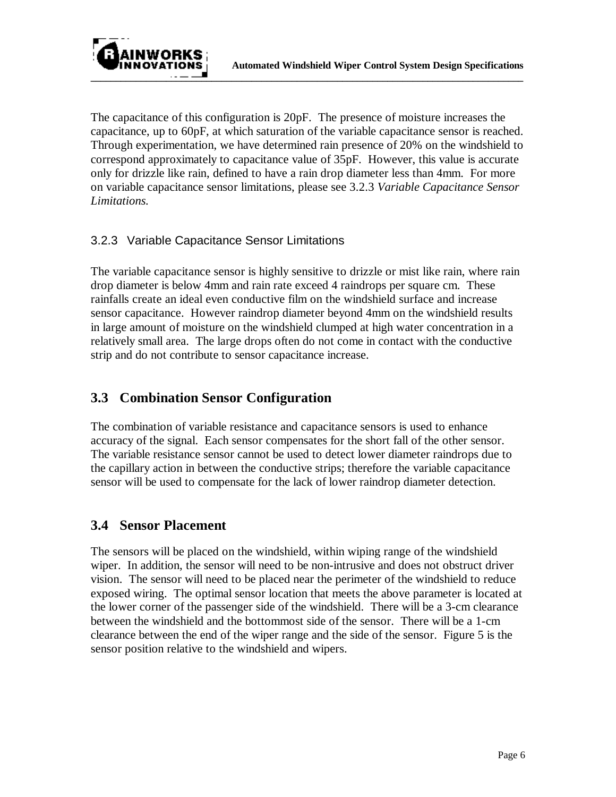

The capacitance of this configuration is 20pF. The presence of moisture increases the capacitance, up to 60pF, at which saturation of the variable capacitance sensor is reached. Through experimentation, we have determined rain presence of 20% on the windshield to correspond approximately to capacitance value of 35pF. However, this value is accurate only for drizzle like rain, defined to have a rain drop diameter less than 4mm. For more on variable capacitance sensor limitations, please see 3.2.3 *Variable Capacitance Sensor Limitations.*

### 3.2.3 Variable Capacitance Sensor Limitations

The variable capacitance sensor is highly sensitive to drizzle or mist like rain, where rain drop diameter is below 4mm and rain rate exceed 4 raindrops per square cm. These rainfalls create an ideal even conductive film on the windshield surface and increase sensor capacitance. However raindrop diameter beyond 4mm on the windshield results in large amount of moisture on the windshield clumped at high water concentration in a relatively small area. The large drops often do not come in contact with the conductive strip and do not contribute to sensor capacitance increase.

## **3.3 Combination Sensor Configuration**

The combination of variable resistance and capacitance sensors is used to enhance accuracy of the signal. Each sensor compensates for the short fall of the other sensor. The variable resistance sensor cannot be used to detect lower diameter raindrops due to the capillary action in between the conductive strips; therefore the variable capacitance sensor will be used to compensate for the lack of lower raindrop diameter detection.

## **3.4 Sensor Placement**

The sensors will be placed on the windshield, within wiping range of the windshield wiper. In addition, the sensor will need to be non-intrusive and does not obstruct driver vision. The sensor will need to be placed near the perimeter of the windshield to reduce exposed wiring. The optimal sensor location that meets the above parameter is located at the lower corner of the passenger side of the windshield. There will be a 3-cm clearance between the windshield and the bottommost side of the sensor. There will be a 1-cm clearance between the end of the wiper range and the side of the sensor. Figure 5 is the sensor position relative to the windshield and wipers.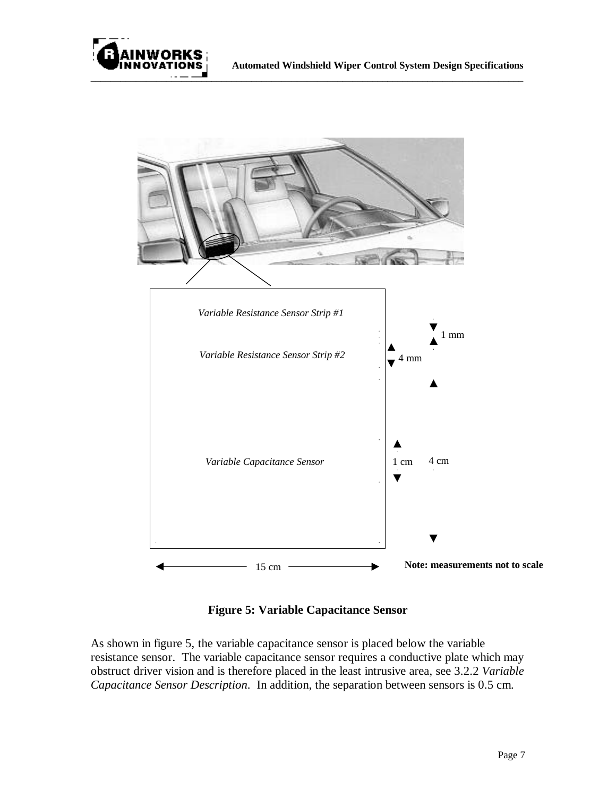



**Figure 5: Variable Capacitance Sensor**

As shown in figure 5, the variable capacitance sensor is placed below the variable resistance sensor. The variable capacitance sensor requires a conductive plate which may obstruct driver vision and is therefore placed in the least intrusive area, see 3.2.2 *Variable Capacitance Sensor Description*. In addition, the separation between sensors is 0.5 cm.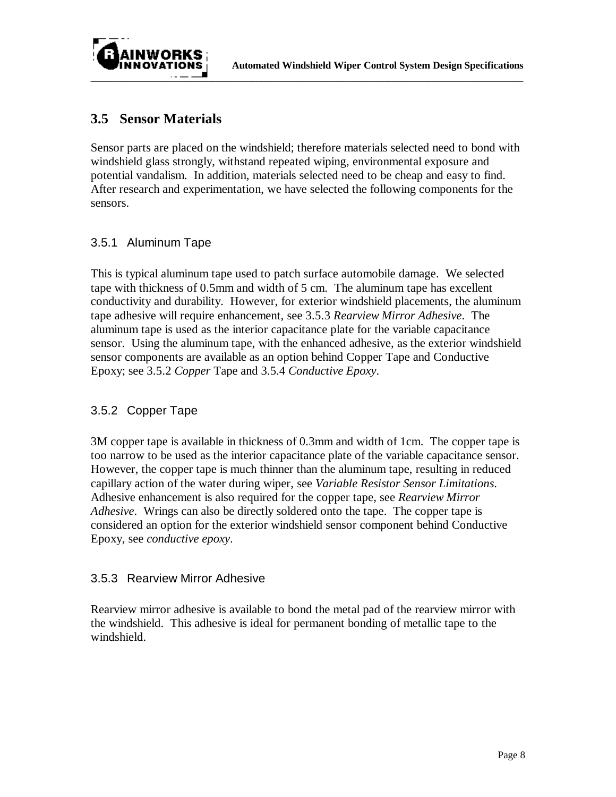



### **3.5 Sensor Materials**

Sensor parts are placed on the windshield; therefore materials selected need to bond with windshield glass strongly, withstand repeated wiping, environmental exposure and potential vandalism. In addition, materials selected need to be cheap and easy to find. After research and experimentation, we have selected the following components for the sensors.

#### 3.5.1 Aluminum Tape

This is typical aluminum tape used to patch surface automobile damage. We selected tape with thickness of 0.5mm and width of 5 cm. The aluminum tape has excellent conductivity and durability. However, for exterior windshield placements, the aluminum tape adhesive will require enhancement, see 3.5.3 *Rearview Mirror Adhesive*. The aluminum tape is used as the interior capacitance plate for the variable capacitance sensor. Using the aluminum tape, with the enhanced adhesive, as the exterior windshield sensor components are available as an option behind Copper Tape and Conductive Epoxy; see 3.5.2 *Copper* Tape and 3.5.4 *Conductive Epoxy*.

#### 3.5.2 Copper Tape

3M copper tape is available in thickness of 0.3mm and width of 1cm. The copper tape is too narrow to be used as the interior capacitance plate of the variable capacitance sensor. However, the copper tape is much thinner than the aluminum tape, resulting in reduced capillary action of the water during wiper, see *Variable Resistor Sensor Limitations*. Adhesive enhancement is also required for the copper tape, see *Rearview Mirror Adhesive*. Wrings can also be directly soldered onto the tape. The copper tape is considered an option for the exterior windshield sensor component behind Conductive Epoxy, see *conductive epoxy*.

#### 3.5.3 Rearview Mirror Adhesive

Rearview mirror adhesive is available to bond the metal pad of the rearview mirror with the windshield. This adhesive is ideal for permanent bonding of metallic tape to the windshield.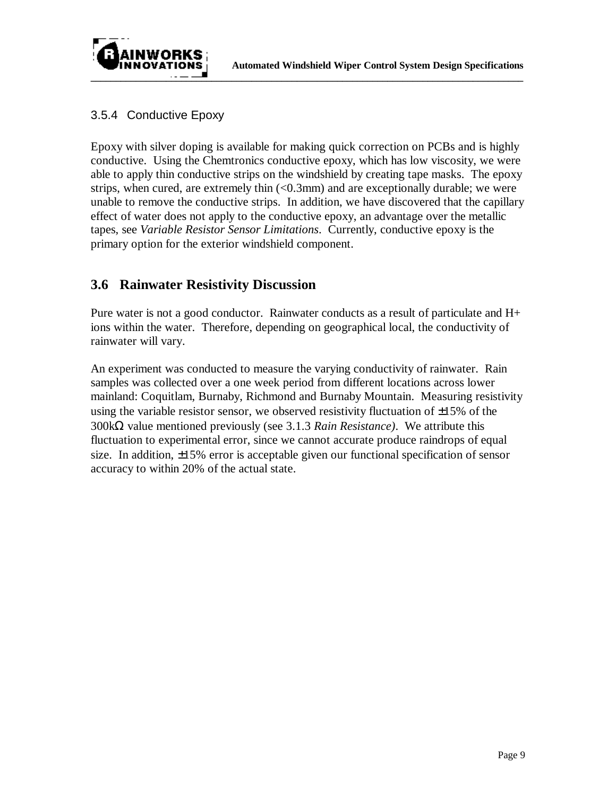



#### 3.5.4 Conductive Epoxy

Epoxy with silver doping is available for making quick correction on PCBs and is highly conductive. Using the Chemtronics conductive epoxy, which has low viscosity, we were able to apply thin conductive strips on the windshield by creating tape masks. The epoxy strips, when cured, are extremely thin  $\left($ <0.3mm) and are exceptionally durable; we were unable to remove the conductive strips. In addition, we have discovered that the capillary effect of water does not apply to the conductive epoxy, an advantage over the metallic tapes, see *Variable Resistor Sensor Limitations*. Currently, conductive epoxy is the primary option for the exterior windshield component.

## **3.6 Rainwater Resistivity Discussion**

Pure water is not a good conductor. Rainwater conducts as a result of particulate and H+ ions within the water. Therefore, depending on geographical local, the conductivity of rainwater will vary.

An experiment was conducted to measure the varying conductivity of rainwater. Rain samples was collected over a one week period from different locations across lower mainland: Coquitlam, Burnaby, Richmond and Burnaby Mountain. Measuring resistivity using the variable resistor sensor, we observed resistivity fluctuation of  $\pm 15\%$  of the 300kΩ value mentioned previously (see 3.1.3 *Rain Resistance)*. We attribute this fluctuation to experimental error, since we cannot accurate produce raindrops of equal size. In addition,  $\pm 15\%$  error is acceptable given our functional specification of sensor accuracy to within 20% of the actual state.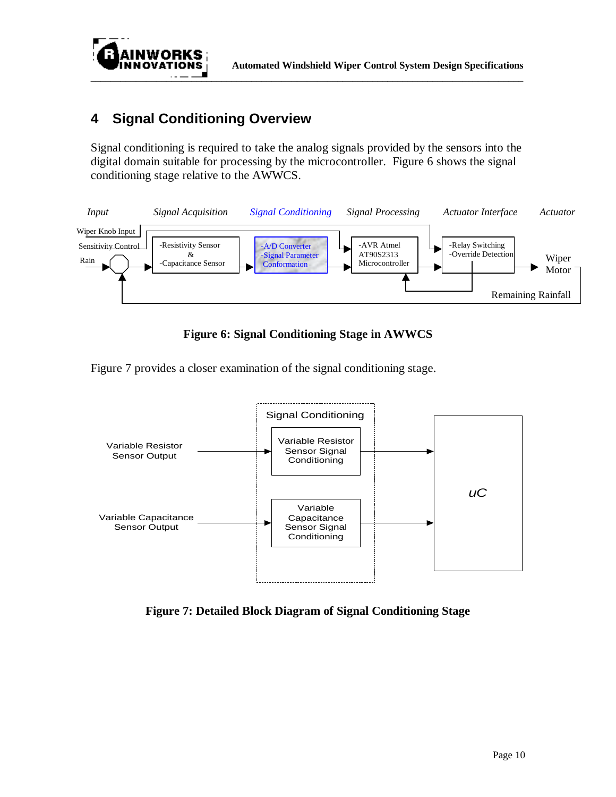

## **4 Signal Conditioning Overview**

Signal conditioning is required to take the analog signals provided by the sensors into the digital domain suitable for processing by the microcontroller. Figure 6 shows the signal conditioning stage relative to the AWWCS.



**Figure 6: Signal Conditioning Stage in AWWCS**

Figure 7 provides a closer examination of the signal conditioning stage.



**Figure 7: Detailed Block Diagram of Signal Conditioning Stage**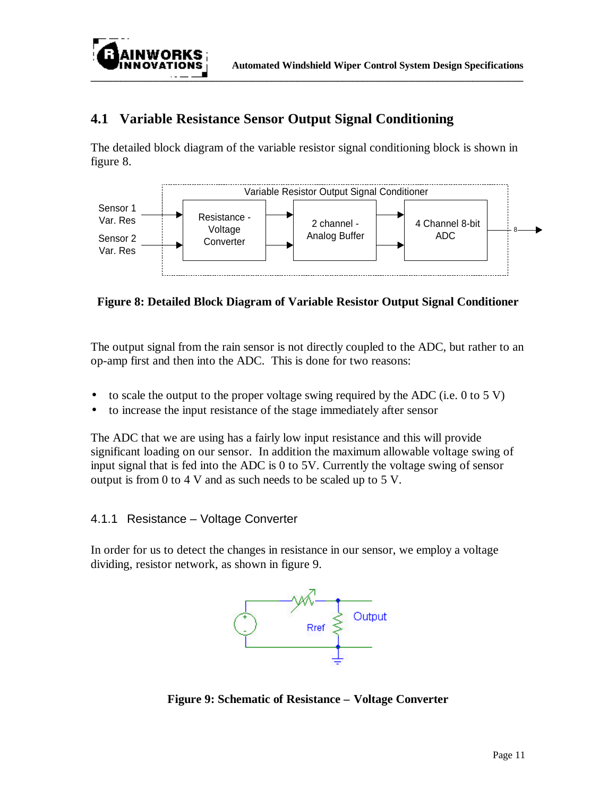

## **4.1 Variable Resistance Sensor Output Signal Conditioning**

The detailed block diagram of the variable resistor signal conditioning block is shown in figure 8.



#### **Figure 8: Detailed Block Diagram of Variable Resistor Output Signal Conditioner**

The output signal from the rain sensor is not directly coupled to the ADC, but rather to an op-amp first and then into the ADC. This is done for two reasons:

- to scale the output to the proper voltage swing required by the ADC (i.e. 0 to 5 V)
- to increase the input resistance of the stage immediately after sensor

The ADC that we are using has a fairly low input resistance and this will provide significant loading on our sensor. In addition the maximum allowable voltage swing of input signal that is fed into the ADC is 0 to 5V. Currently the voltage swing of sensor output is from 0 to 4 V and as such needs to be scaled up to 5 V.

#### 4.1.1 Resistance – Voltage Converter

In order for us to detect the changes in resistance in our sensor, we employ a voltage dividing, resistor network, as shown in figure 9.



**Figure 9: Schematic of Resistance – Voltage Converter**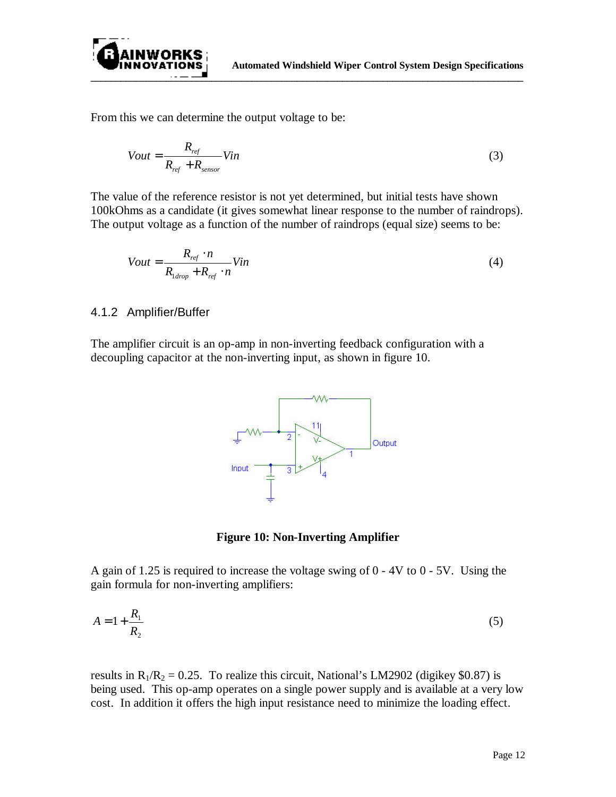

From this we can determine the output voltage to be:

$$
Vout = \frac{R_{ref}}{R_{ref} + R_{sensor}} Vin
$$
\n(3)

The value of the reference resistor is not yet determined, but initial tests have shown 100kOhms as a candidate (it gives somewhat linear response to the number of raindrops). The output voltage as a function of the number of raindrops (equal size) seems to be:

$$
Vout = \frac{R_{ref} \cdot n}{R_{1drop} + R_{ref} \cdot n} Vin \tag{4}
$$

#### 4.1.2 Amplifier/Buffer

The amplifier circuit is an op-amp in non-inverting feedback configuration with a decoupling capacitor at the non-inverting input, as shown in figure 10.



**Figure 10: Non-Inverting Amplifier**

A gain of 1.25 is required to increase the voltage swing of 0 - 4V to 0 - 5V. Using the gain formula for non-inverting amplifiers:

$$
A = 1 + \frac{R_1}{R_2} \tag{5}
$$

results in  $R_1/R_2 = 0.25$ . To realize this circuit, National's LM2902 (digikey \$0.87) is being used. This op-amp operates on a single power supply and is available at a very low cost. In addition it offers the high input resistance need to minimize the loading effect.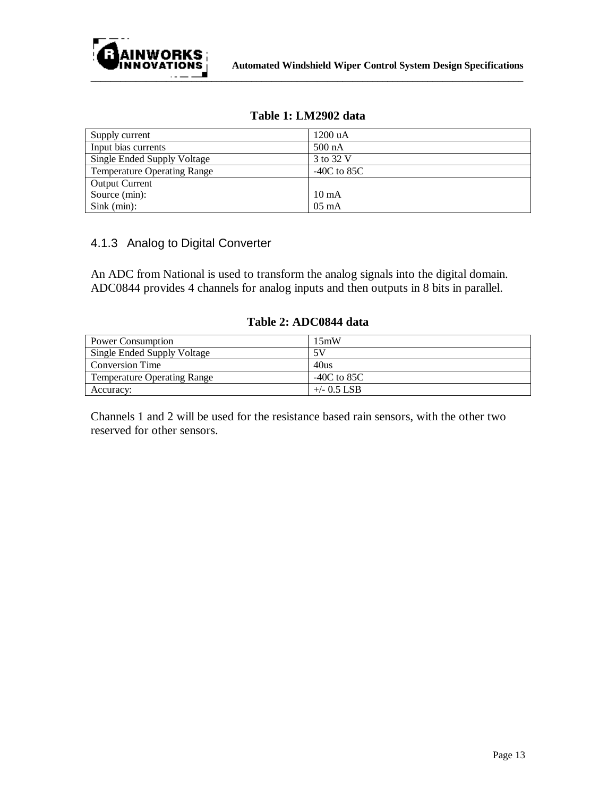

| Supply current                     | 1200 uA          |
|------------------------------------|------------------|
| Input bias currents                | $500 \text{ nA}$ |
| Single Ended Supply Voltage        | 3 to 32 V        |
| <b>Temperature Operating Range</b> | $-40C$ to 85C    |
| <b>Output Current</b>              |                  |
| Source (min):                      | $10 \text{ mA}$  |
| $Sink$ (min):                      | $05 \text{ mA}$  |

#### **Table 1: LM2902 data**

#### 4.1.3 Analog to Digital Converter

An ADC from National is used to transform the analog signals into the digital domain. ADC0844 provides 4 channels for analog inputs and then outputs in 8 bits in parallel.

| Power Consumption                  | 15mW          |
|------------------------------------|---------------|
| Single Ended Supply Voltage        | 5V            |
| <b>Conversion Time</b>             | 40us          |
| <b>Temperature Operating Range</b> | -40C to 85C   |
| Accuracy:                          | $+/-$ 0.5 LSB |

#### **Table 2: ADC0844 data**

Channels 1 and 2 will be used for the resistance based rain sensors, with the other two reserved for other sensors.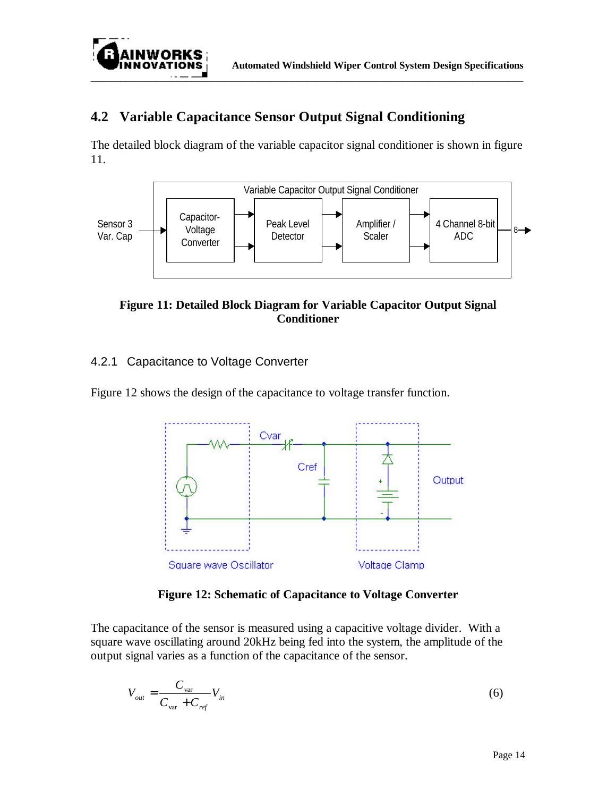

## **4.2 Variable Capacitance Sensor Output Signal Conditioning**

The detailed block diagram of the variable capacitor signal conditioner is shown in figure 11.



**Figure 11: Detailed Block Diagram for Variable Capacitor Output Signal Conditioner**

### 4.2.1 Capacitance to Voltage Converter

Figure 12 shows the design of the capacitance to voltage transfer function.



**Figure 12: Schematic of Capacitance to Voltage Converter**

The capacitance of the sensor is measured using a capacitive voltage divider. With a square wave oscillating around 20kHz being fed into the system, the amplitude of the output signal varies as a function of the capacitance of the sensor.

$$
V_{out} = \frac{C_{var}}{C_{var} + C_{ref}} V_{in}
$$
\n
$$
\tag{6}
$$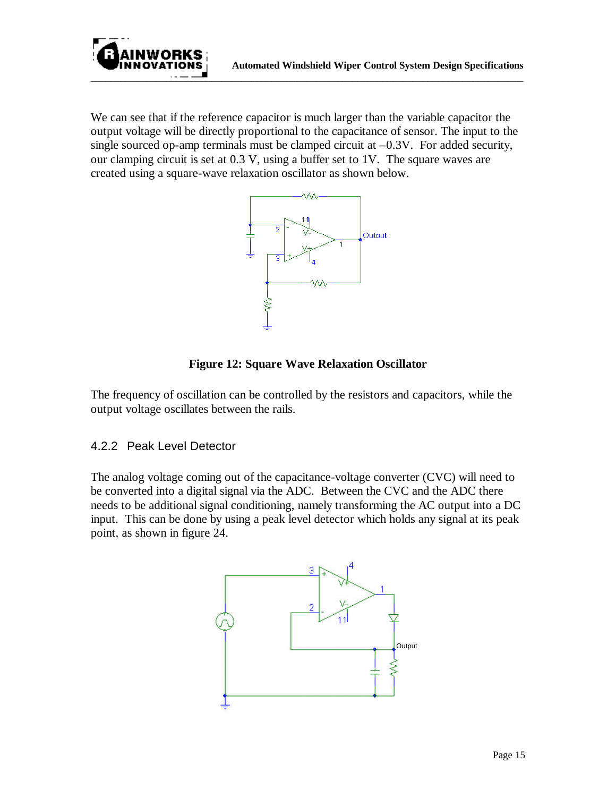We can see that if the reference capacitor is much larger than the variable capacitor the output voltage will be directly proportional to the capacitance of sensor. The input to the single sourced op-amp terminals must be clamped circuit at  $-0.3V$ . For added security, our clamping circuit is set at 0.3 V, using a buffer set to 1V. The square waves are created using a square-wave relaxation oscillator as shown below.

**\_\_\_\_\_\_\_\_\_\_\_\_\_\_\_\_\_\_\_\_\_\_\_\_\_\_\_\_\_\_\_\_\_\_\_\_\_\_\_\_\_\_\_\_\_\_\_\_\_\_\_\_\_\_\_\_\_\_\_\_\_\_\_\_\_\_\_\_\_\_\_\_\_\_\_\_\_\_\_\_\_\_\_\_\_\_**



#### **Figure 12: Square Wave Relaxation Oscillator**

The frequency of oscillation can be controlled by the resistors and capacitors, while the output voltage oscillates between the rails.

#### 4.2.2 Peak Level Detector

The analog voltage coming out of the capacitance-voltage converter (CVC) will need to be converted into a digital signal via the ADC. Between the CVC and the ADC there needs to be additional signal conditioning, namely transforming the AC output into a DC input. This can be done by using a peak level detector which holds any signal at its peak point, as shown in figure 24.

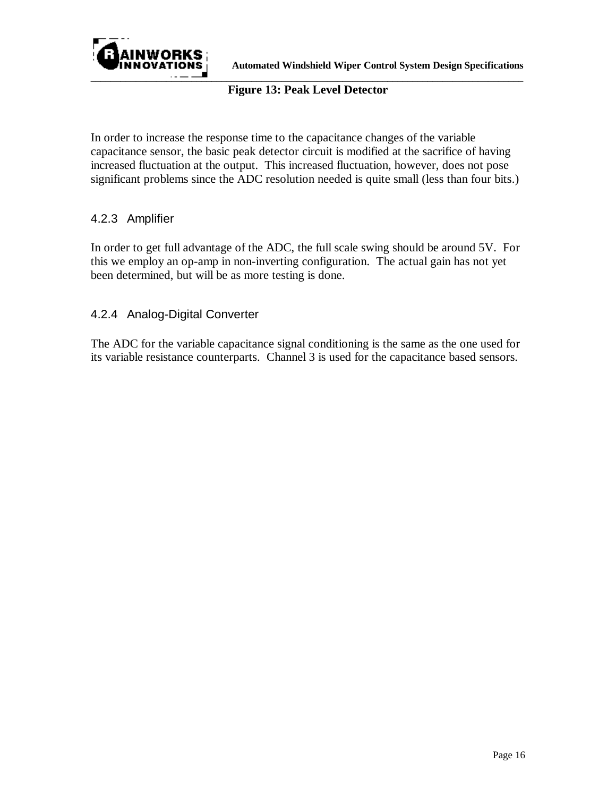

#### **Figure 13: Peak Level Detector**

In order to increase the response time to the capacitance changes of the variable capacitance sensor, the basic peak detector circuit is modified at the sacrifice of having increased fluctuation at the output. This increased fluctuation, however, does not pose significant problems since the ADC resolution needed is quite small (less than four bits.)

#### 4.2.3 Amplifier

In order to get full advantage of the ADC, the full scale swing should be around 5V. For this we employ an op-amp in non-inverting configuration. The actual gain has not yet been determined, but will be as more testing is done.

#### 4.2.4 Analog-Digital Converter

The ADC for the variable capacitance signal conditioning is the same as the one used for its variable resistance counterparts. Channel 3 is used for the capacitance based sensors.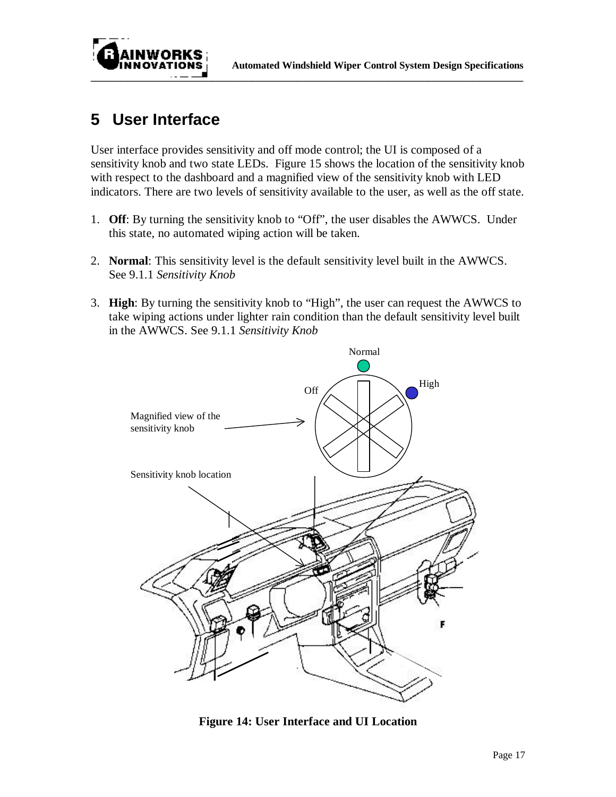

# **5 User Interface**

User interface provides sensitivity and off mode control; the UI is composed of a sensitivity knob and two state LEDs. Figure 15 shows the location of the sensitivity knob with respect to the dashboard and a magnified view of the sensitivity knob with LED indicators. There are two levels of sensitivity available to the user, as well as the off state.

- 1. **Off**: By turning the sensitivity knob to "Off", the user disables the AWWCS. Under this state, no automated wiping action will be taken.
- 2. **Normal**: This sensitivity level is the default sensitivity level built in the AWWCS. See 9.1.1 *Sensitivity Knob*
- 3. **High**: By turning the sensitivity knob to "High", the user can request the AWWCS to take wiping actions under lighter rain condition than the default sensitivity level built in the AWWCS. See 9.1.1 *Sensitivity Knob*



**Figure 14: User Interface and UI Location**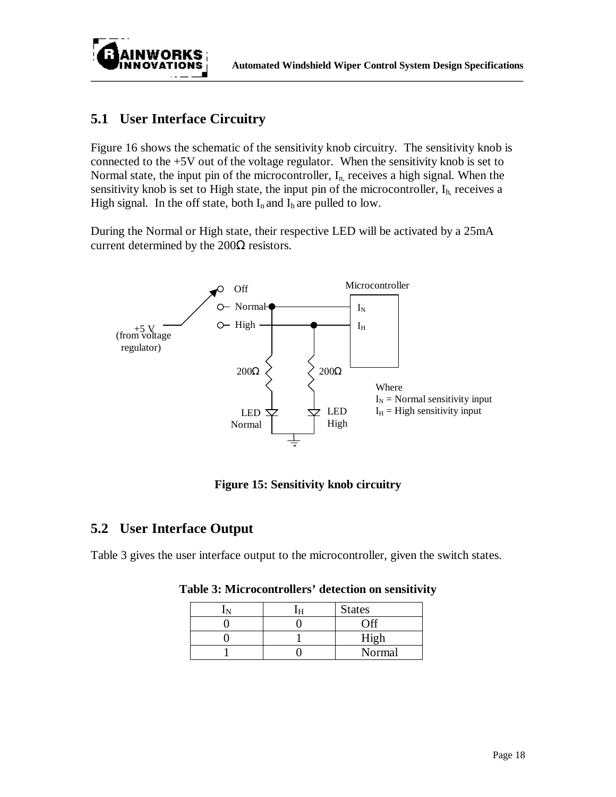

## **5.1 User Interface Circuitry**

Figure 16 shows the schematic of the sensitivity knob circuitry. The sensitivity knob is connected to the +5V out of the voltage regulator. When the sensitivity knob is set to Normal state, the input pin of the microcontroller,  $I_{n}$ , receives a high signal. When the sensitivity knob is set to High state, the input pin of the microcontroller,  $I<sub>h</sub>$ , receives a High signal. In the off state, both  $I_n$  and  $I_h$  are pulled to low.

During the Normal or High state, their respective LED will be activated by a 25mA current determined by the  $200\Omega$  resistors.



**Figure 15: Sensitivity knob circuitry**

## **5.2 User Interface Output**

Table 3 gives the user interface output to the microcontroller, given the switch states.

|  | <b>States</b> |
|--|---------------|
|  |               |
|  | High          |
|  | Normal        |

**Table 3: Microcontrollers' detection on sensitivity**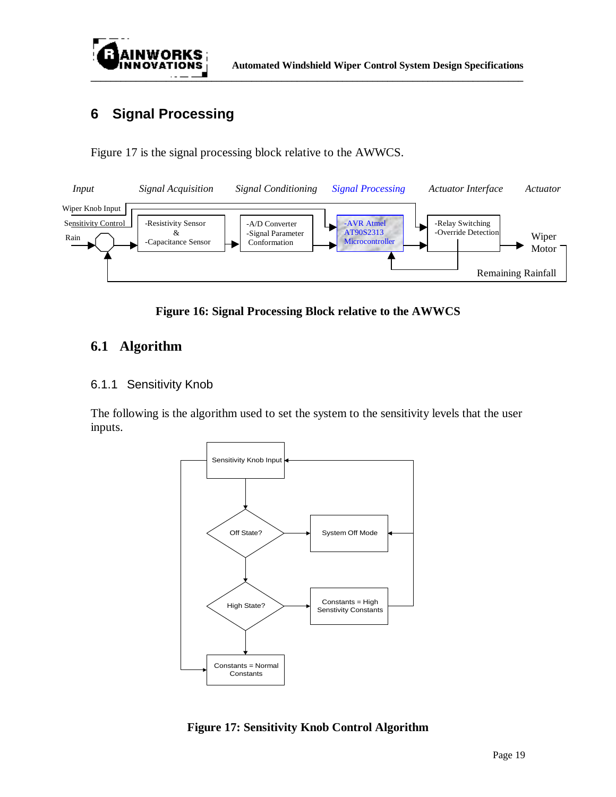

# **6 Signal Processing**

Figure 17 is the signal processing block relative to the AWWCS.



**Figure 16: Signal Processing Block relative to the AWWCS**

## **6.1 Algorithm**

#### 6.1.1 Sensitivity Knob

The following is the algorithm used to set the system to the sensitivity levels that the user inputs.



**Figure 17: Sensitivity Knob Control Algorithm**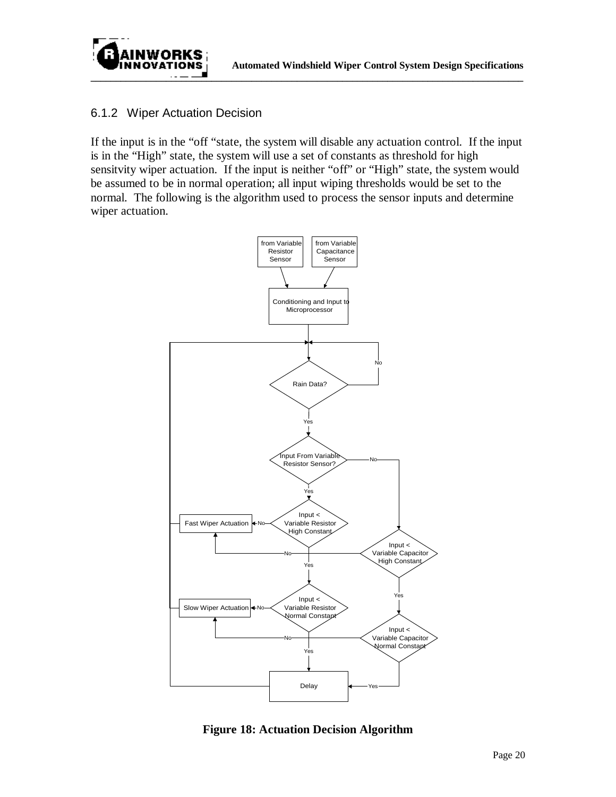

#### 6.1.2 Wiper Actuation Decision

If the input is in the "off "state, the system will disable any actuation control. If the input is in the "High" state, the system will use a set of constants as threshold for high sensitvity wiper actuation. If the input is neither "off" or "High" state, the system would be assumed to be in normal operation; all input wiping thresholds would be set to the normal. The following is the algorithm used to process the sensor inputs and determine wiper actuation.



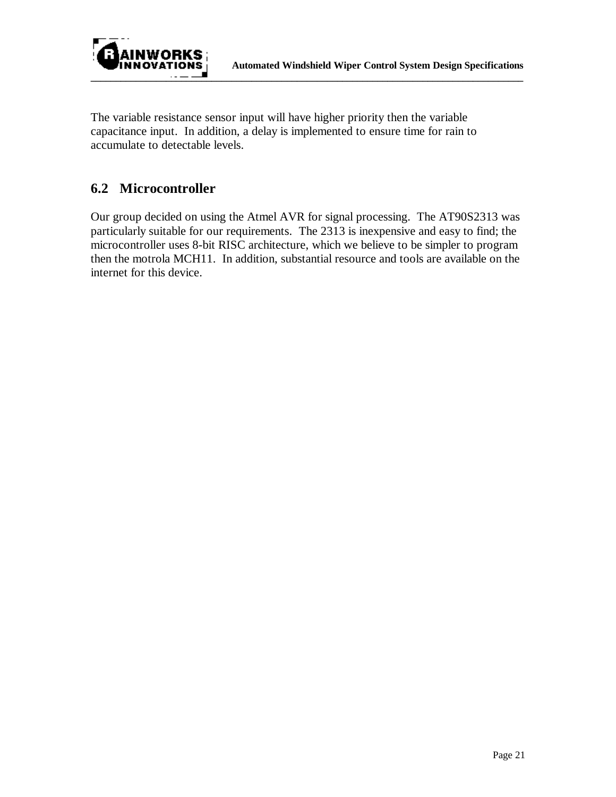



The variable resistance sensor input will have higher priority then the variable capacitance input. In addition, a delay is implemented to ensure time for rain to accumulate to detectable levels.

## **6.2 Microcontroller**

Our group decided on using the Atmel AVR for signal processing. The AT90S2313 was particularly suitable for our requirements. The 2313 is inexpensive and easy to find; the microcontroller uses 8-bit RISC architecture, which we believe to be simpler to program then the motrola MCH11. In addition, substantial resource and tools are available on the internet for this device.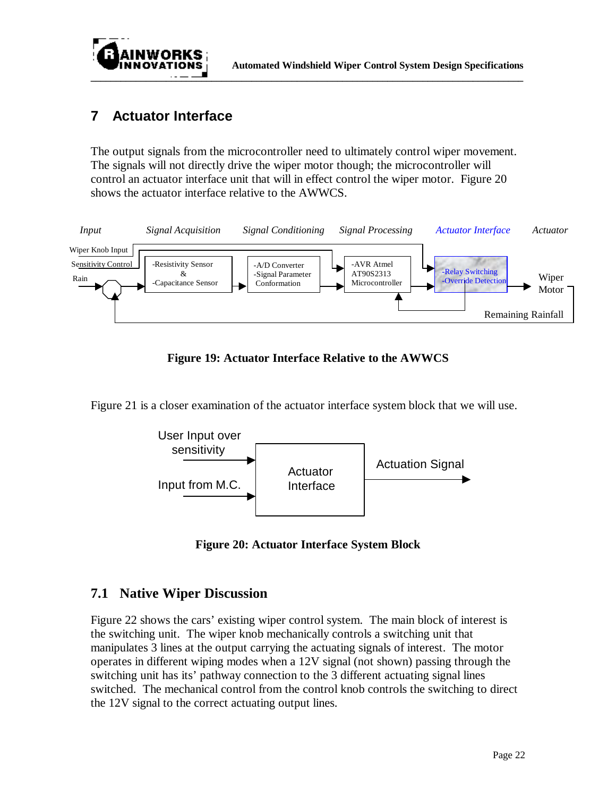

## **7 Actuator Interface**

The output signals from the microcontroller need to ultimately control wiper movement. The signals will not directly drive the wiper motor though; the microcontroller will control an actuator interface unit that will in effect control the wiper motor. Figure 20 shows the actuator interface relative to the AWWCS.



**Figure 19: Actuator Interface Relative to the AWWCS**

Figure 21 is a closer examination of the actuator interface system block that we will use.



**Figure 20: Actuator Interface System Block**

## **7.1 Native Wiper Discussion**

Figure 22 shows the cars' existing wiper control system. The main block of interest is the switching unit. The wiper knob mechanically controls a switching unit that manipulates 3 lines at the output carrying the actuating signals of interest. The motor operates in different wiping modes when a 12V signal (not shown) passing through the switching unit has its' pathway connection to the 3 different actuating signal lines switched. The mechanical control from the control knob controls the switching to direct the 12V signal to the correct actuating output lines.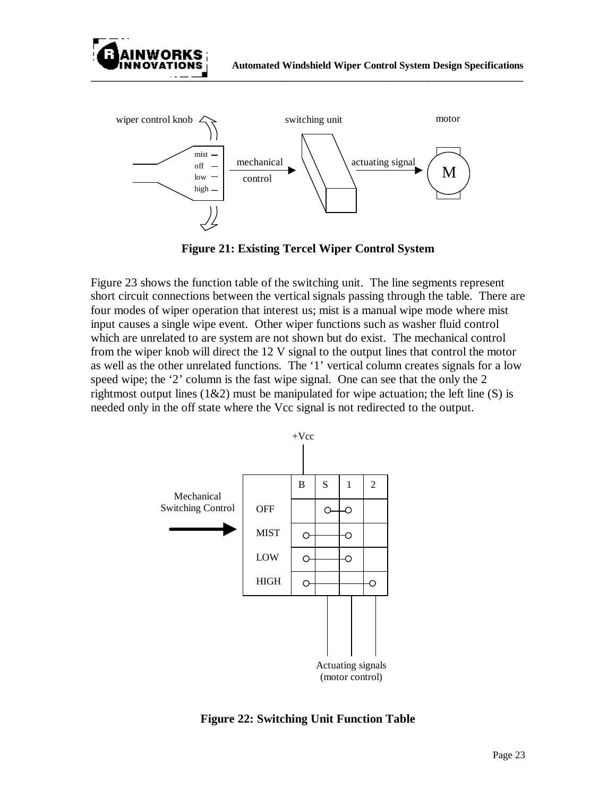



**Figure 21: Existing Tercel Wiper Control System**

Figure 23 shows the function table of the switching unit. The line segments represent short circuit connections between the vertical signals passing through the table. There are four modes of wiper operation that interest us; mist is a manual wipe mode where mist input causes a single wipe event. Other wiper functions such as washer fluid control which are unrelated to are system are not shown but do exist. The mechanical control from the wiper knob will direct the 12 V signal to the output lines that control the motor as well as the other unrelated functions. The '1' vertical column creates signals for a low speed wipe; the '2' column is the fast wipe signal. One can see that the only the 2 rightmost output lines  $(1&2)$  must be manipulated for wipe actuation; the left line  $(S)$  is needed only in the off state where the Vcc signal is not redirected to the output.



**Figure 22: Switching Unit Function Table**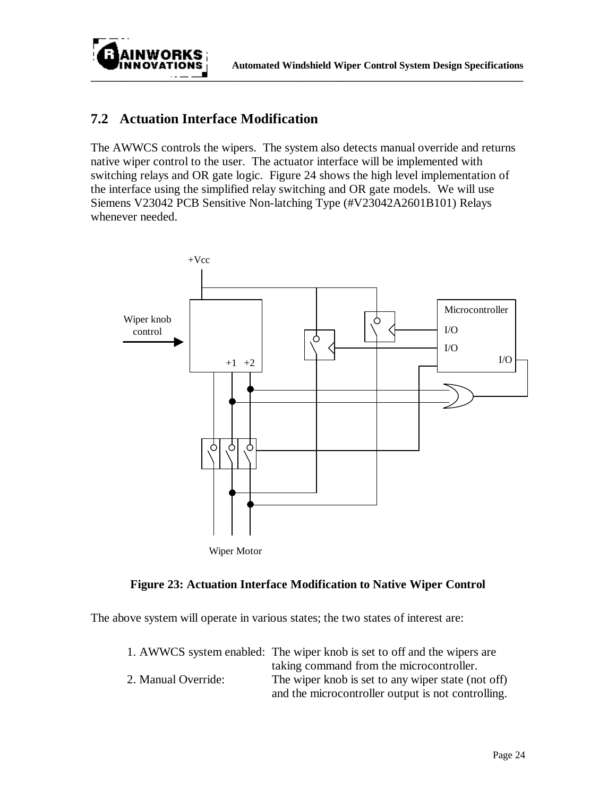

## **7.2 Actuation Interface Modification**

The AWWCS controls the wipers. The system also detects manual override and returns native wiper control to the user. The actuator interface will be implemented with switching relays and OR gate logic. Figure 24 shows the high level implementation of the interface using the simplified relay switching and OR gate models. We will use Siemens V23042 PCB Sensitive Non-latching Type (#V23042A2601B101) Relays whenever needed.



#### **Figure 23: Actuation Interface Modification to Native Wiper Control**

The above system will operate in various states; the two states of interest are:

|                     | 1. AWWCS system enabled: The wiper knob is set to off and the wipers are |
|---------------------|--------------------------------------------------------------------------|
|                     | taking command from the microcontroller.                                 |
| 2. Manual Override: | The wiper knob is set to any wiper state (not off)                       |
|                     | and the microcontroller output is not controlling.                       |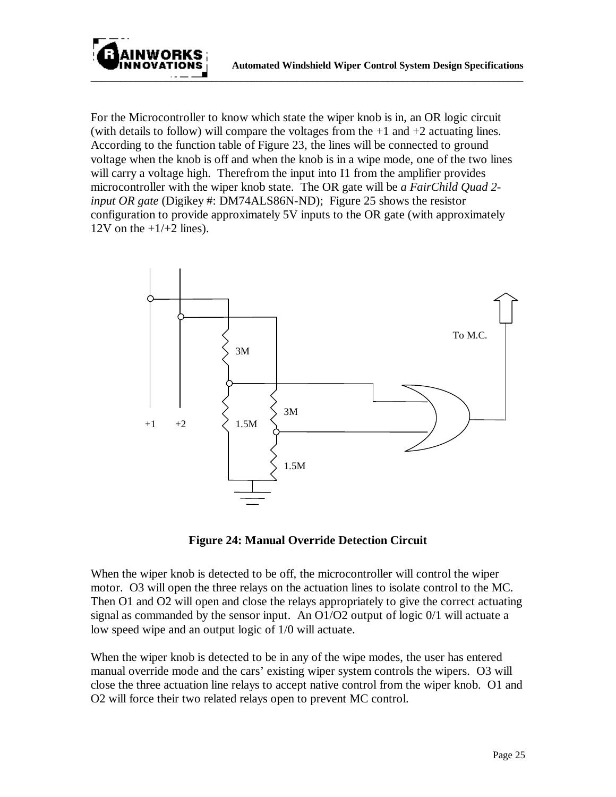

For the Microcontroller to know which state the wiper knob is in, an OR logic circuit (with details to follow) will compare the voltages from the  $+1$  and  $+2$  actuating lines. According to the function table of Figure 23, the lines will be connected to ground voltage when the knob is off and when the knob is in a wipe mode, one of the two lines will carry a voltage high. Therefrom the input into I1 from the amplifier provides microcontroller with the wiper knob state. The OR gate will be *a FairChild Quad 2 input OR gate* (Digikey #: DM74ALS86N-ND); Figure 25 shows the resistor configuration to provide approximately 5V inputs to the OR gate (with approximately 12V on the  $+1/+2$  lines).



**Figure 24: Manual Override Detection Circuit**

When the wiper knob is detected to be off, the microcontroller will control the wiper motor. O3 will open the three relays on the actuation lines to isolate control to the MC. Then O1 and O2 will open and close the relays appropriately to give the correct actuating signal as commanded by the sensor input. An O1/O2 output of logic 0/1 will actuate a low speed wipe and an output logic of 1/0 will actuate.

When the wiper knob is detected to be in any of the wipe modes, the user has entered manual override mode and the cars' existing wiper system controls the wipers. O3 will close the three actuation line relays to accept native control from the wiper knob. O1 and O2 will force their two related relays open to prevent MC control.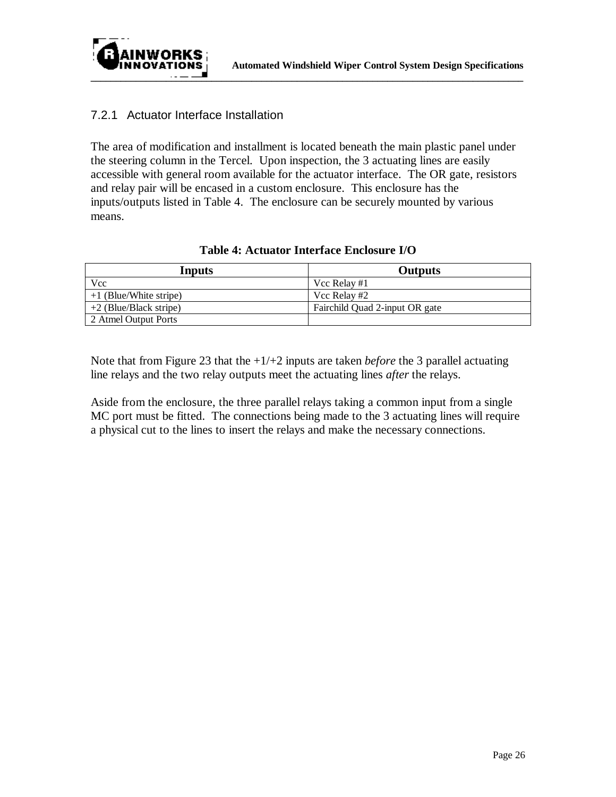

#### 7.2.1 Actuator Interface Installation

The area of modification and installment is located beneath the main plastic panel under the steering column in the Tercel. Upon inspection, the 3 actuating lines are easily accessible with general room available for the actuator interface. The OR gate, resistors and relay pair will be encased in a custom enclosure. This enclosure has the inputs/outputs listed in Table 4. The enclosure can be securely mounted by various means.

| Inputs                   | Outputs                        |
|--------------------------|--------------------------------|
| Vcc                      | Vcc Relay #1                   |
| $+1$ (Blue/White stripe) | Vcc Relay #2                   |
| $+2$ (Blue/Black stripe) | Fairchild Quad 2-input OR gate |
| 2 Atmel Output Ports     |                                |

#### **Table 4: Actuator Interface Enclosure I/O**

Note that from Figure 23 that the +1/+2 inputs are taken *before* the 3 parallel actuating line relays and the two relay outputs meet the actuating lines *after* the relays.

Aside from the enclosure, the three parallel relays taking a common input from a single MC port must be fitted. The connections being made to the 3 actuating lines will require a physical cut to the lines to insert the relays and make the necessary connections.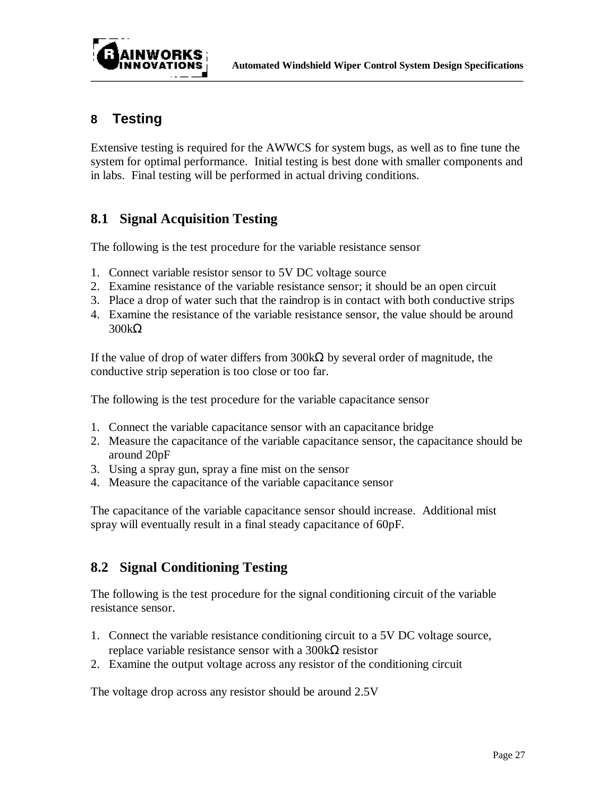



## **8 Testing**

Extensive testing is required for the AWWCS for system bugs, as well as to fine tune the system for optimal performance. Initial testing is best done with smaller components and in labs. Final testing will be performed in actual driving conditions.

## **8.1 Signal Acquisition Testing**

The following is the test procedure for the variable resistance sensor

- 1. Connect variable resistor sensor to 5V DC voltage source
- 2. Examine resistance of the variable resistance sensor; it should be an open circuit
- 3. Place a drop of water such that the raindrop is in contact with both conductive strips
- 4. Examine the resistance of the variable resistance sensor, the value should be around 300kΩ

If the value of drop of water differs from  $300k\Omega$  by several order of magnitude, the conductive strip seperation is too close or too far.

The following is the test procedure for the variable capacitance sensor

- 1. Connect the variable capacitance sensor with an capacitance bridge
- 2. Measure the capacitance of the variable capacitance sensor, the capacitance should be around 20pF
- 3. Using a spray gun, spray a fine mist on the sensor
- 4. Measure the capacitance of the variable capacitance sensor

The capacitance of the variable capacitance sensor should increase. Additional mist spray will eventually result in a final steady capacitance of 60pF.

## **8.2 Signal Conditioning Testing**

The following is the test procedure for the signal conditioning circuit of the variable resistance sensor.

- 1. Connect the variable resistance conditioning circuit to a 5V DC voltage source, replace variable resistance sensor with a 300kΩ resistor
- 2. Examine the output voltage across any resistor of the conditioning circuit

The voltage drop across any resistor should be around 2.5V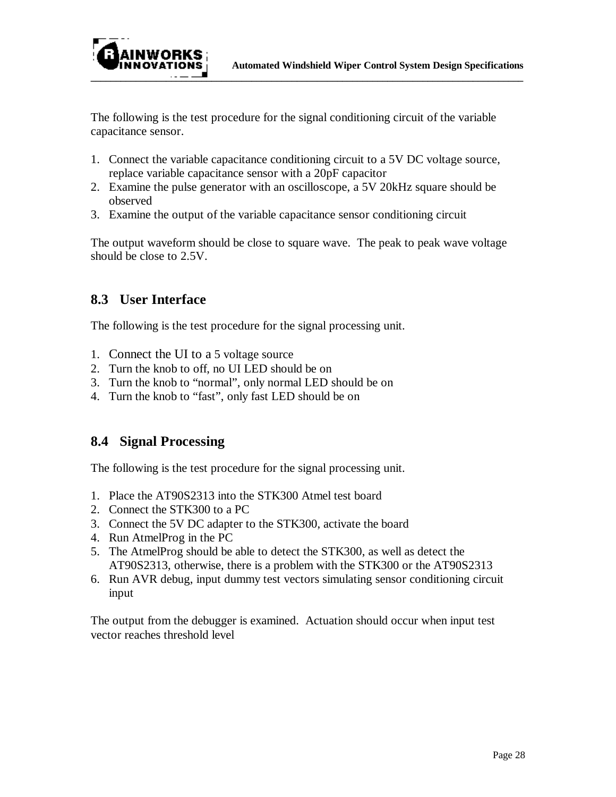

The following is the test procedure for the signal conditioning circuit of the variable capacitance sensor.

- 1. Connect the variable capacitance conditioning circuit to a 5V DC voltage source, replace variable capacitance sensor with a 20pF capacitor
- 2. Examine the pulse generator with an oscilloscope, a 5V 20kHz square should be observed
- 3. Examine the output of the variable capacitance sensor conditioning circuit

The output waveform should be close to square wave. The peak to peak wave voltage should be close to 2.5V.

## **8.3 User Interface**

The following is the test procedure for the signal processing unit.

- 1. Connect the UI to a 5 voltage source
- 2. Turn the knob to off, no UI LED should be on
- 3. Turn the knob to "normal", only normal LED should be on
- 4. Turn the knob to "fast", only fast LED should be on

## **8.4 Signal Processing**

The following is the test procedure for the signal processing unit.

- 1. Place the AT90S2313 into the STK300 Atmel test board
- 2. Connect the STK300 to a PC
- 3. Connect the 5V DC adapter to the STK300, activate the board
- 4. Run AtmelProg in the PC
- 5. The AtmelProg should be able to detect the STK300, as well as detect the AT90S2313, otherwise, there is a problem with the STK300 or the AT90S2313
- 6. Run AVR debug, input dummy test vectors simulating sensor conditioning circuit input

The output from the debugger is examined. Actuation should occur when input test vector reaches threshold level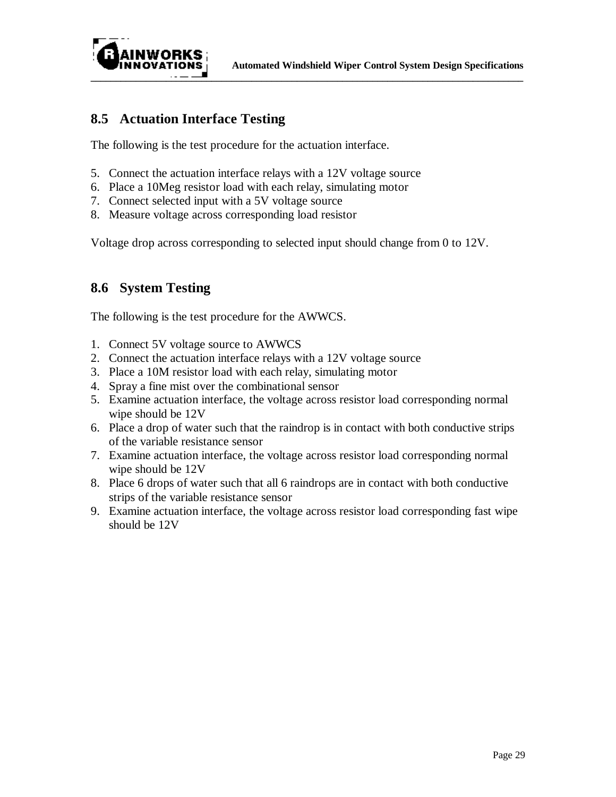

## **8.5 Actuation Interface Testing**

The following is the test procedure for the actuation interface.

- 5. Connect the actuation interface relays with a 12V voltage source
- 6. Place a 10Meg resistor load with each relay, simulating motor
- 7. Connect selected input with a 5V voltage source
- 8. Measure voltage across corresponding load resistor

Voltage drop across corresponding to selected input should change from 0 to 12V.

### **8.6 System Testing**

The following is the test procedure for the AWWCS.

- 1. Connect 5V voltage source to AWWCS
- 2. Connect the actuation interface relays with a 12V voltage source
- 3. Place a 10M resistor load with each relay, simulating motor
- 4. Spray a fine mist over the combinational sensor
- 5. Examine actuation interface, the voltage across resistor load corresponding normal wipe should be 12V
- 6. Place a drop of water such that the raindrop is in contact with both conductive strips of the variable resistance sensor
- 7. Examine actuation interface, the voltage across resistor load corresponding normal wipe should be 12V
- 8. Place 6 drops of water such that all 6 raindrops are in contact with both conductive strips of the variable resistance sensor
- 9. Examine actuation interface, the voltage across resistor load corresponding fast wipe should be 12V